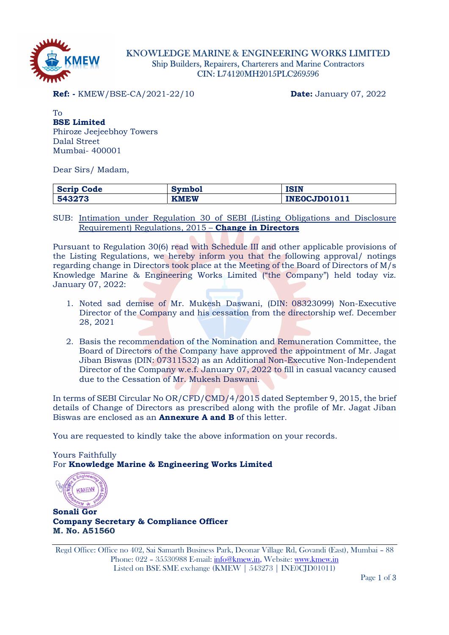

# KNOWLEDGE MARINE & ENGINEERING WORKS LIMITED Ship Builders, Repairers, Charterers and Marine Contractors CIN: L74120MH2015PLC269596

**Ref:** - KMEW/BSE-CA/2021-22/10 **Date:** January 07, 2022

To BSE Limited Phiroze Jeejeebhoy Towers Dalal Street Mumbai- 400001

Dear Sirs/ Madam,

| Company<br>Code<br>DCI1. | symbol      | ISIN                      |
|--------------------------|-------------|---------------------------|
| 543273                   | <b>KMEW</b> | <b>JD01011</b><br>--<br>w |

SUB: Intimation under Regulation 30 of SEBI (Listing Obligations and Disclosure Requirement) Regulations, 2015 – Change in Directors

Pursuant to Regulation 30(6) read with Schedule III and other applicable provisions of the Listing Regulations, we hereby inform you that the following approval/ notings regarding change in Directors took place at the Meeting of the Board of Directors of M/s Knowledge Marine & Engineering Works Limited ("the Company") held today viz. January 07, 2022:

- 1. Noted sad demise of Mr. Mukesh Daswani, (DIN: 08323099) Non-Executive Director of the Company and his cessation from the directorship wef. December 28, 2021
- 2. Basis the recommendation of the Nomination and Remuneration Committee, the Board of Directors of the Company have approved the appointment of Mr. Jagat Jiban Biswas (DIN: 07311532) as an Additional Non-Executive Non-Independent Director of the Company w.e.f. January 07, 2022 to fill in casual vacancy caused due to the Cessation of Mr. Mukesh Daswani.

In terms of SEBI Circular No OR/CFD/CMD/4/2015 dated September 9, 2015, the brief details of Change of Directors as prescribed along with the profile of Mr. Jagat Jiban Biswas are enclosed as an Annexure A and B of this letter.

You are requested to kindly take the above information on your records.

Yours Faithfully For Knowledge Marine & Engineering Works Limited

KMEV

Sonali Gor Company Secretary & Compliance Officer M. No. A51560

Regd Office: Office no 402, Sai Samarth Business Park, Deonar Village Rd, Govandi (East), Mumbai – 88 Phone: 022 – 35530988 E-mail: info@kmew.in, Website: www.kmew.in Listed on BSE SME exchange (KMEW | 543273 | INE0CJD01011)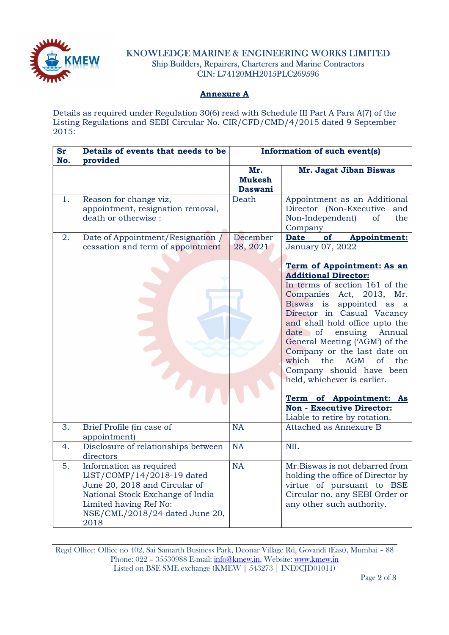

# KNOWLEDGE MARINE & ENGINEERING WORKS LIMITED Ship Builders, Repairers, Charterers and Marine Contractors CIN: L74120MH2015PLC269596

### Annexure A

Details as required under Regulation 30(6) read with Schedule III Part A Para A(7) of the Listing Regulations and SEBI Circular No. CIR/CFD/CMD/4/2015 dated 9 September 2015:

| <b>Sr</b><br>No. | Details of events that needs to be<br>provided                                                                                                                                                 |                                        | Information of such event(s)                                                                                                                                                                                                                                                                                                                                                                                                                                                                                                                                                               |  |
|------------------|------------------------------------------------------------------------------------------------------------------------------------------------------------------------------------------------|----------------------------------------|--------------------------------------------------------------------------------------------------------------------------------------------------------------------------------------------------------------------------------------------------------------------------------------------------------------------------------------------------------------------------------------------------------------------------------------------------------------------------------------------------------------------------------------------------------------------------------------------|--|
|                  |                                                                                                                                                                                                | Mr.<br><b>Mukesh</b><br><b>Daswani</b> | Mr. Jagat Jiban Biswas                                                                                                                                                                                                                                                                                                                                                                                                                                                                                                                                                                     |  |
| 1.               | Reason for change viz,<br>appointment, resignation removal,<br>death or otherwise :                                                                                                            | Death                                  | Appointment as an Additional<br>Director (Non-Executive and<br>Non-Independent)<br><sub>of</sub><br>the<br>Company                                                                                                                                                                                                                                                                                                                                                                                                                                                                         |  |
| 2.               | Date of Appointment/Resignation /<br>cessation and term of appointment                                                                                                                         | December<br>28, 2021                   | <b>Date</b><br>of<br><b>Appointment:</b><br>January 07, 2022<br>Term of Appointment: As an<br><b>Additional Director:</b><br>In terms of section 161 of the<br>Companies Act, 2013, Mr.<br>Biswas is appointed as a<br>Director in Casual Vacancy<br>and shall hold office upto the<br>date of ensuing Annual<br>General Meeting ('AGM') of the<br>Company or the last date on<br>which<br>the<br><b>AGM</b><br>$\alpha$<br>the<br>Company should have been<br>held, whichever is earlier.<br>Term of Appointment: As<br><b>Non - Executive Director:</b><br>Liable to retire by rotation. |  |
| 3.               | Brief Profile (in case of<br>appointment)                                                                                                                                                      | NA                                     | Attached as Annexure B                                                                                                                                                                                                                                                                                                                                                                                                                                                                                                                                                                     |  |
| 4.               | Disclosure of relationships between<br>directors                                                                                                                                               | NA                                     | <b>NIL</b>                                                                                                                                                                                                                                                                                                                                                                                                                                                                                                                                                                                 |  |
| 5.               | Information as required<br>LIST/COMP/14/2018-19 dated<br>June 20, 2018 and Circular of<br>National Stock Exchange of India<br>Limited having Ref No:<br>NSE/CML/2018/24 dated June 20,<br>2018 | <b>NA</b>                              | Mr.Biswas is not debarred from<br>holding the office of Director by<br>virtue of pursuant to BSE<br>Circular no. any SEBI Order or<br>any other such authority.                                                                                                                                                                                                                                                                                                                                                                                                                            |  |

Regd Office: Office no 402, Sai Samarth Business Park, Deonar Village Rd, Govandi (East), Mumbai – 88 Phone: 022 – 35530988 E-mail: info@kmew.in, Website: www.kmew.in Listed on BSE SME exchange (KMEW | 543273 | INE0CJD01011)